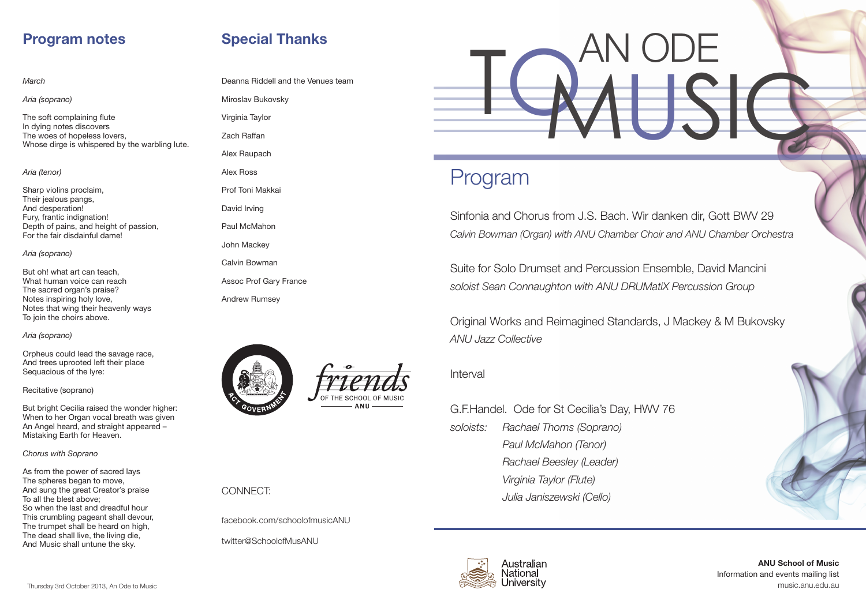ANU School of Music Information and events mailing list music.anu.edu.au



# Program

Sinfonia and Chorus from J.S. Bach. Wir danken dir, Gott BWV 29 *Calvin Bowman (Organ) with ANU Chamber Choir and ANU Chamber Orchestra*

Suite for Solo Drumset and Percussion Ensemble, David Mancini *soloist Sean Connaughton with ANU DRUMatiX Percussion Group*

Original Works and Reimagined Standards, J Mackey & M Bukovsky *ANU Jazz Collective*

Interval

### G.F.Handel. Ode for St Cecilia's Day, HWV 76

*soloists: Rachael Thoms (Soprano) Paul McMahon (Tenor) Rachael Beesley (Leader) Virginia Taylor (Flute) Julia Janiszewski (Cello)*



#### *March*

*Aria (soprano)*

The soft complaining flute In dying notes discovers The woes of hopeless lovers, Whose dirge is whispered by the warbling lute.

### *Aria (tenor)*

Sharp violins proclaim, Their jealous pangs, And desperation! Fury, frantic indignation! Depth of pains, and height of passion, For the fair disdainful dame!

### *Aria (soprano)*

But oh! what art can teach, What human voice can reach The sacred organ's praise? Notes inspiring holy love, Notes that wing their heavenly ways To join the choirs above.

### *Aria (soprano)*

Orpheus could lead the savage race, And trees uprooted left their place Sequacious of the lyre:

### Recitative (soprano)

But bright Cecilia raised the wonder higher: When to her Organ vocal breath was given An Angel heard, and straight appeared – Mistaking Earth for Heaven.

*Chorus with Soprano*

As from the power of sacred lays The spheres began to move, And sung the great Creator's praise To all the blest above; So when the last and dreadful hour This crumbling pageant shall devour, The trumpet shall be heard on high, The dead shall live, the living die, And Music shall untune the sky.

## Program notes

Deanna Riddell and the Venues team

Miroslav Bukovsky Virginia Taylor Zach Raffan Alex Raupach Alex Ross Prof Toni Makkai David Irving Paul McMahon John Mackey Calvin Bowman Assoc Prof Gary France Andrew Rumsey





### CONNECT:

facebook.com/schoolofmusicANU

twitter@SchoolofMusANU

# Special Thanks